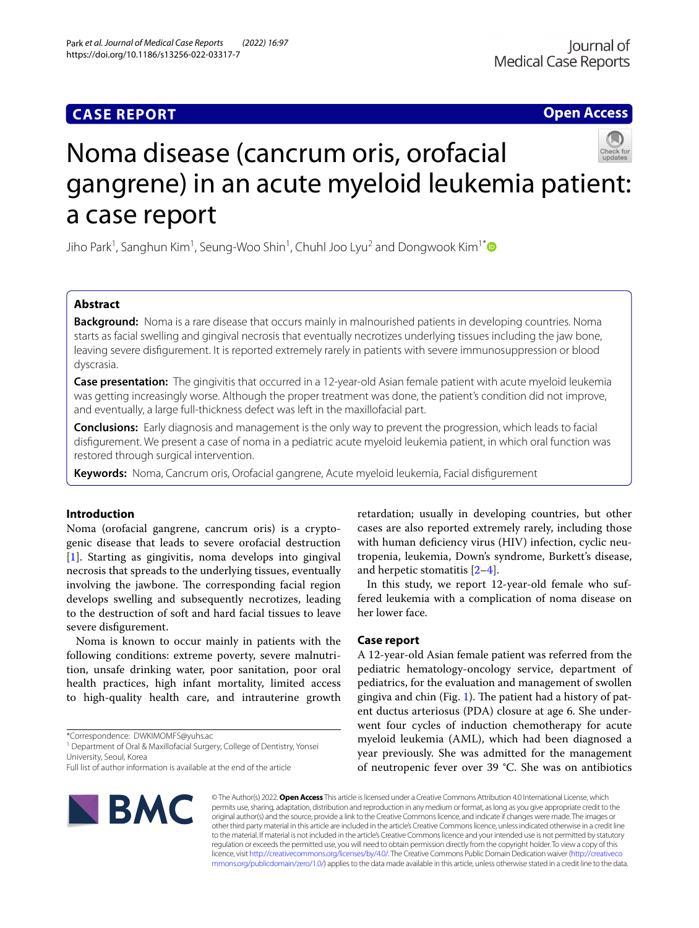## **CASE REPORT**

**Open Access**

# Noma disease (cancrum oris, orofacial gangrene) in an acute myeloid leukemia patient: a case report

Jiho Park $^1$ , Sanghun Kim $^1$ , Seung-Woo Shin $^1$ , Chuhl Joo Lyu $^2$  and Dongwook Kim $^1{}^*$  $^1{}^*$ 

## **Abstract**

**Background:** Noma is a rare disease that occurs mainly in malnourished patients in developing countries. Noma starts as facial swelling and gingival necrosis that eventually necrotizes underlying tissues including the jaw bone, leaving severe disfgurement. It is reported extremely rarely in patients with severe immunosuppression or blood dyscrasia.

**Case presentation:** The gingivitis that occurred in a 12-year-old Asian female patient with acute myeloid leukemia was getting increasingly worse. Although the proper treatment was done, the patient's condition did not improve, and eventually, a large full-thickness defect was left in the maxillofacial part.

**Conclusions:** Early diagnosis and management is the only way to prevent the progression, which leads to facial disfgurement. We present a case of noma in a pediatric acute myeloid leukemia patient, in which oral function was restored through surgical intervention.

**Keywords:** Noma, Cancrum oris, Orofacial gangrene, Acute myeloid leukemia, Facial disfgurement

## **Introduction**

Noma (orofacial gangrene, cancrum oris) is a cryptogenic disease that leads to severe orofacial destruction [[1\]](#page-2-0). Starting as gingivitis, noma develops into gingival necrosis that spreads to the underlying tissues, eventually involving the jawbone. The corresponding facial region develops swelling and subsequently necrotizes, leading to the destruction of soft and hard facial tissues to leave severe disfgurement.

Noma is known to occur mainly in patients with the following conditions: extreme poverty, severe malnutrition, unsafe drinking water, poor sanitation, poor oral health practices, high infant mortality, limited access to high-quality health care, and intrauterine growth

\*Correspondence: DWKIMOMFS@yuhs.ac

<sup>1</sup> Department of Oral & Maxillofacial Surgery, College of Dentistry, Yonsei University, Seoul, Korea

Full list of author information is available at the end of the article



retardation; usually in developing countries, but other cases are also reported extremely rarely, including those with human defciency virus (HIV) infection, cyclic neutropenia, leukemia, Down's syndrome, Burkett's disease, and herpetic stomatitis [\[2](#page-2-1)[–4](#page-2-2)].

In this study, we report 12-year-old female who suffered leukemia with a complication of noma disease on her lower face.

## **Case report**

A 12-year-old Asian female patient was referred from the pediatric hematology-oncology service, department of pediatrics, for the evaluation and management of swollen gingiva and chin (Fig. [1\)](#page-1-0). The patient had a history of patent ductus arteriosus (PDA) closure at age 6. She underwent four cycles of induction chemotherapy for acute myeloid leukemia (AML), which had been diagnosed a year previously. She was admitted for the management of neutropenic fever over 39 °C. She was on antibiotics

© The Author(s) 2022. **Open Access** This article is licensed under a Creative Commons Attribution 4.0 International License, which permits use, sharing, adaptation, distribution and reproduction in any medium or format, as long as you give appropriate credit to the original author(s) and the source, provide a link to the Creative Commons licence, and indicate if changes were made. The images or other third party material in this article are included in the article's Creative Commons licence, unless indicated otherwise in a credit line to the material. If material is not included in the article's Creative Commons licence and your intended use is not permitted by statutory regulation or exceeds the permitted use, you will need to obtain permission directly from the copyright holder. To view a copy of this licence, visit [http://creativecommons.org/licenses/by/4.0/.](http://creativecommons.org/licenses/by/4.0/) The Creative Commons Public Domain Dedication waiver ([http://creativeco](http://creativecommons.org/publicdomain/zero/1.0/) [mmons.org/publicdomain/zero/1.0/](http://creativecommons.org/publicdomain/zero/1.0/)) applies to the data made available in this article, unless otherwise stated in a credit line to the data.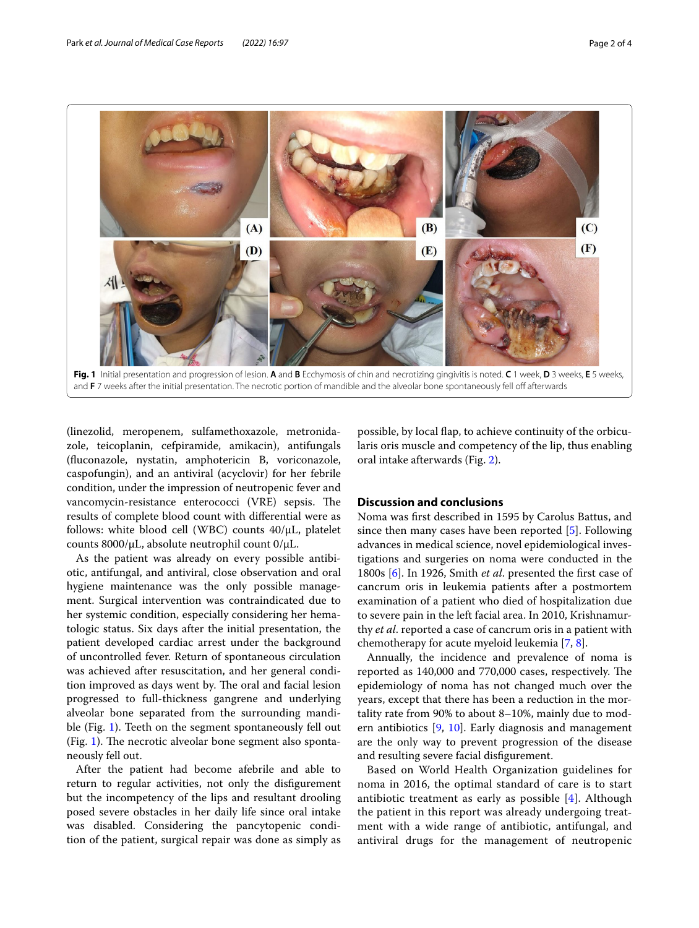

<span id="page-1-0"></span>**Fig. 1** Initial presentation and progression of lesion. **A** and **B** Ecchymosis of chin and necrotizing gingivitis is noted. **C** 1 week, **D** 3 weeks, **E** 5 weeks, and **F** 7 weeks after the initial presentation. The necrotic portion of mandible and the alveolar bone spontaneously fell off afterwards

(linezolid, meropenem, sulfamethoxazole, metronidazole, teicoplanin, cefpiramide, amikacin), antifungals (fuconazole, nystatin, amphotericin B, voriconazole, caspofungin), and an antiviral (acyclovir) for her febrile condition, under the impression of neutropenic fever and vancomycin-resistance enterococci (VRE) sepsis. The results of complete blood count with diferential were as follows: white blood cell (WBC) counts 40/μL, platelet counts 8000/μL, absolute neutrophil count 0/μL.

As the patient was already on every possible antibiotic, antifungal, and antiviral, close observation and oral hygiene maintenance was the only possible management. Surgical intervention was contraindicated due to her systemic condition, especially considering her hematologic status. Six days after the initial presentation, the patient developed cardiac arrest under the background of uncontrolled fever. Return of spontaneous circulation was achieved after resuscitation, and her general condition improved as days went by. The oral and facial lesion progressed to full-thickness gangrene and underlying alveolar bone separated from the surrounding mandible (Fig. [1\)](#page-1-0). Teeth on the segment spontaneously fell out (Fig. [1](#page-1-0)). The necrotic alveolar bone segment also spontaneously fell out.

After the patient had become afebrile and able to return to regular activities, not only the disfgurement but the incompetency of the lips and resultant drooling posed severe obstacles in her daily life since oral intake was disabled. Considering the pancytopenic condition of the patient, surgical repair was done as simply as

possible, by local fap, to achieve continuity of the orbicularis oris muscle and competency of the lip, thus enabling oral intake afterwards (Fig. [2](#page-2-3)).

## **Discussion and conclusions**

Noma was frst described in 1595 by Carolus Battus, and since then many cases have been reported [\[5](#page-2-4)]. Following advances in medical science, novel epidemiological investigations and surgeries on noma were conducted in the 1800s [\[6\]](#page-2-5). In 1926, Smith *et al*. presented the frst case of cancrum oris in leukemia patients after a postmortem examination of a patient who died of hospitalization due to severe pain in the left facial area. In 2010, Krishnamurthy *et al*. reported a case of cancrum oris in a patient with chemotherapy for acute myeloid leukemia [\[7](#page-2-6), [8\]](#page-2-7).

Annually, the incidence and prevalence of noma is reported as 140,000 and 770,000 cases, respectively. The epidemiology of noma has not changed much over the years, except that there has been a reduction in the mortality rate from 90% to about 8–10%, mainly due to modern antibiotics [\[9](#page-3-0), [10\]](#page-3-1). Early diagnosis and management are the only way to prevent progression of the disease and resulting severe facial disfgurement.

Based on World Health Organization guidelines for noma in 2016, the optimal standard of care is to start antibiotic treatment as early as possible [\[4](#page-2-2)]. Although the patient in this report was already undergoing treatment with a wide range of antibiotic, antifungal, and antiviral drugs for the management of neutropenic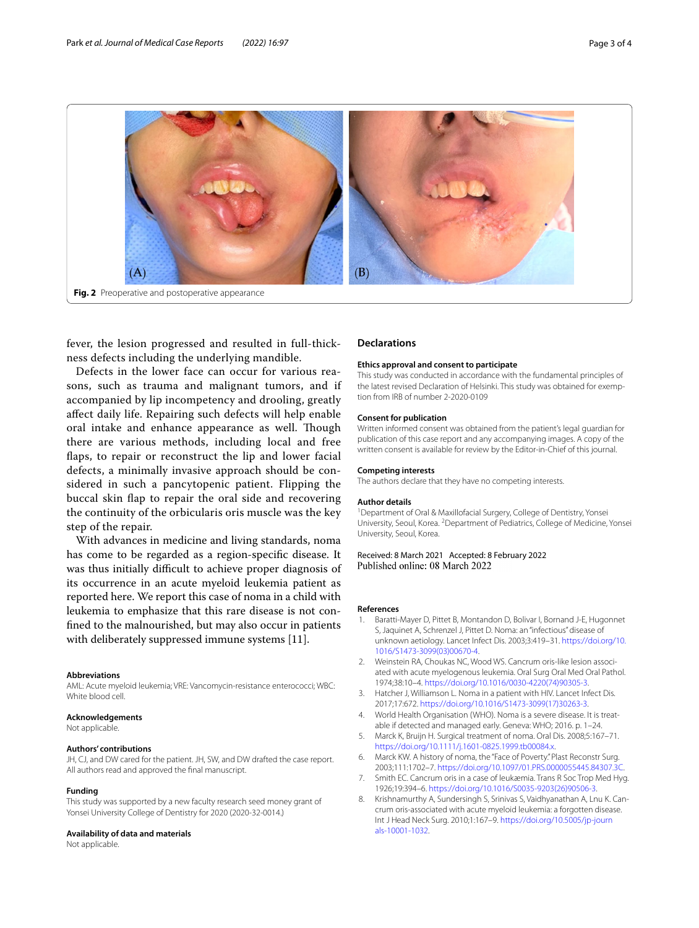

<span id="page-2-3"></span>fever, the lesion progressed and resulted in full-thickness defects including the underlying mandible.

Defects in the lower face can occur for various reasons, such as trauma and malignant tumors, and if accompanied by lip incompetency and drooling, greatly afect daily life. Repairing such defects will help enable oral intake and enhance appearance as well. Though there are various methods, including local and free flaps, to repair or reconstruct the lip and lower facial defects, a minimally invasive approach should be considered in such a pancytopenic patient. Flipping the buccal skin fap to repair the oral side and recovering the continuity of the orbicularis oris muscle was the key step of the repair.

With advances in medicine and living standards, noma has come to be regarded as a region-specifc disease. It was thus initially difficult to achieve proper diagnosis of its occurrence in an acute myeloid leukemia patient as reported here. We report this case of noma in a child with leukemia to emphasize that this rare disease is not confned to the malnourished, but may also occur in patients with deliberately suppressed immune systems [11].

#### **Abbreviations**

AML: Acute myeloid leukemia; VRE: Vancomycin-resistance enterococci; WBC: White blood cell.

#### **Acknowledgements**

Not applicable.

#### **Authors' contributions**

JH, CJ, and DW cared for the patient. JH, SW, and DW drafted the case report. All authors read and approved the fnal manuscript.

#### **Funding**

This study was supported by a new faculty research seed money grant of Yonsei University College of Dentistry for 2020 (2020-32-0014.)

#### **Availability of data and materials**

Not applicable.

#### **Declarations**

#### **Ethics approval and consent to participate**

This study was conducted in accordance with the fundamental principles of the latest revised Declaration of Helsinki. This study was obtained for exemption from IRB of number 2-2020-0109

#### **Consent for publication**

Written informed consent was obtained from the patient's legal guardian for publication of this case report and any accompanying images. A copy of the written consent is available for review by the Editor-in-Chief of this journal.

#### **Competing interests**

The authors declare that they have no competing interests.

#### **Author details**

<sup>1</sup> Department of Oral & Maxillofacial Surgery, College of Dentistry, Yonsei University, Seoul, Korea. <sup>2</sup> Department of Pediatrics, College of Medicine, Yonsei University, Seoul, Korea.

#### Received: 8 March 2021 Accepted: 8 February 2022 Published online: 08 March 2022

#### **References**

- <span id="page-2-0"></span>1. Baratti-Mayer D, Pittet B, Montandon D, Bolivar I, Bornand J-E, Hugonnet S, Jaquinet A, Schrenzel J, Pittet D. Noma: an "infectious" disease of unknown aetiology. Lancet Infect Dis. 2003;3:419–31. [https://doi.org/10.](https://doi.org/10.1016/S1473-3099(03)00670-4) [1016/S1473-3099\(03\)00670-4](https://doi.org/10.1016/S1473-3099(03)00670-4).
- <span id="page-2-1"></span>Weinstein RA, Choukas NC, Wood WS. Cancrum oris-like lesion associated with acute myelogenous leukemia. Oral Surg Oral Med Oral Pathol. 1974;38:10–4. [https://doi.org/10.1016/0030-4220\(74\)90305-3.](https://doi.org/10.1016/0030-4220(74)90305-3)
- 3. Hatcher J, Williamson L. Noma in a patient with HIV. Lancet Infect Dis. 2017;17:672. [https://doi.org/10.1016/S1473-3099\(17\)30263-3.](https://doi.org/10.1016/S1473-3099(17)30263-3)
- <span id="page-2-2"></span>4. World Health Organisation (WHO). Noma is a severe disease. It is treatable if detected and managed early. Geneva: WHO; 2016. p. 1–24.
- <span id="page-2-4"></span>5. Marck K, Bruijn H. Surgical treatment of noma. Oral Dis. 2008;5:167–71. <https://doi.org/10.1111/j.1601-0825.1999.tb00084.x>.
- <span id="page-2-5"></span>6. Marck KW. A history of noma, the "Face of Poverty." Plast Reconstr Surg. 2003;111:1702–7. <https://doi.org/10.1097/01.PRS.0000055445.84307.3C>.
- <span id="page-2-6"></span>7. Smith EC. Cancrum oris in a case of leukæmia. Trans R Soc Trop Med Hyg. 1926;19:394–6. [https://doi.org/10.1016/S0035-9203\(26\)90506-3.](https://doi.org/10.1016/S0035-9203(26)90506-3)
- <span id="page-2-7"></span>8. Krishnamurthy A, Sundersingh S, Srinivas S, Vaidhyanathan A, Lnu K. Cancrum oris-associated with acute myeloid leukemia: a forgotten disease. Int J Head Neck Surg. 2010;1:167–9. [https://doi.org/10.5005/jp-journ](https://doi.org/10.5005/jp-journals-10001-1032) [als-10001-1032.](https://doi.org/10.5005/jp-journals-10001-1032)